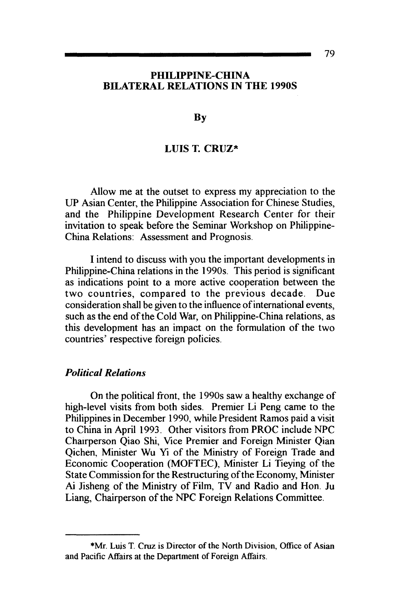#### PHILIPPINE-CHINA BILATERAL RELATIONS IN THE 1990S

**B**<sub>v</sub>

#### LUIS T. CRUZ\*

Allow me at the outset to express my appreciation to the UP Asian Center, the Philippine Association for Chinese Studies, and the Philippine Development Research Center for their invitation to speak before the Seminar Workshop on Philippine-China Relations: Assessment and Prognosis.

I intend to discuss with you the important developments in Philippine-China relations in the 1990s. This period is significant as indications point to a more active cooperation between the two countries, compared to the previous decade. Due consideration shall be given to the influence of international events, such as the end of the Cold War, on Philippine-China relations, as this development has an impact on the formulation of the two countries' respective foreign policies.

# *Political Relations*

On the political front, the 1990s saw a healthy exchange of high-level visits from both sides. Premier Li Peng came to the Philippines in December 1990, while President Ramos paid a visit to China in April 1993. Other visitors from PROC include NPC Chairperson Qiao Shi, Vice Premier and Foreign Minister Qian Qichen, Minister Wu Yi of the Ministry of Foreign Trade and Economic Cooperation (MOFTEC), Minister Li Tieying of the State Commission for the Restructuring ofthe Economy, Minister Ai Jisheng of the Ministry of Film, TV and Radio and Hon. Ju Liang, Chairperson of the NPC Foreign Relations Committee.

<sup>\*</sup>Mr. Luis T. Cruz is Director of the North Division, Office of Asian and Pacific Affairs at the Department of Foreign Affairs.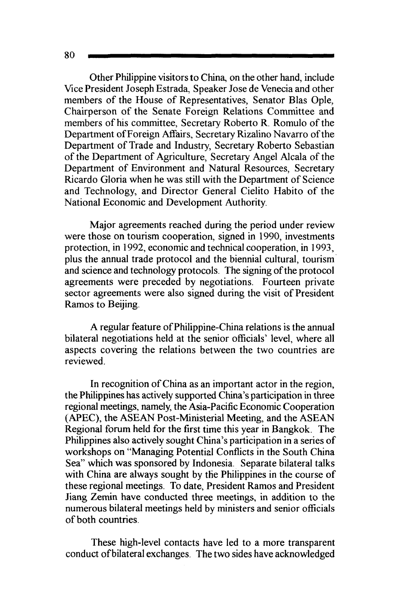Other Philippine visitors to China, on the other hand, include Vice President Joseph Estrada, Speaker Jose de Venecia and other members of the House of Representatives, Senator Bias Ople, Chairperson of the Senate Foreign Relations Committee and members of his committee, Secretary Roberto R. Romulo of the Department ofForeign Affairs, Secretary Rizalino Navarro of the Department of Trade and Industry, Secretary Roberto Sebastian of the Department of Agriculture, Secretary Angel Alcala of the Department of Environment and Natural Resources, Secretary Ricardo Gloria when he was still with the Department of Science and Technology, and Director General Cielito Habito of the National Economic and Development Authority.

Major agreements reached during the period under review were those on tourism cooperation, signed in 1990, investments protection, in 1992, economic and technical cooperation, in 1993, plus the annual trade protocol and the biennial cultural, tourism and science and technology protocols. The signing of the protocol agreements were preceded by negotiations. Fourteen private sector agreements were also signed during the visit of President Ramos to Beijing.

A regular feature of Philippine-China relations is the annual bilateral negotiations held at the senior officials' level, where all aspects covering the relations between the two countries are reviewed.

In recognition of China as an important actor in the region, the Philippines has actively supported China's participation in three regional meetings, namely, the Asia-Pacific Economic Cooperation (APEC), the ASEAN Post-Ministerial Meeting, and the ASEAN Regional forum held for the first time this year in Bangkok. The Philippines also actively sought China's participation in a series of workshops on "Managing Potential Conflicts in the South China Sea" which was sponsored by Indonesia. Separate bilateral talks with China are always sought by the Philippines in the course of these regional meetings. To date, President Ramos and President Jiang Zemin have conducted three meetings, in addition to the numerous bilateral meetings held by ministers and senior officials of both countries.

These high-level contacts have led to a more transparent conduct ofbilateral exchanges. The two sides have acknowledged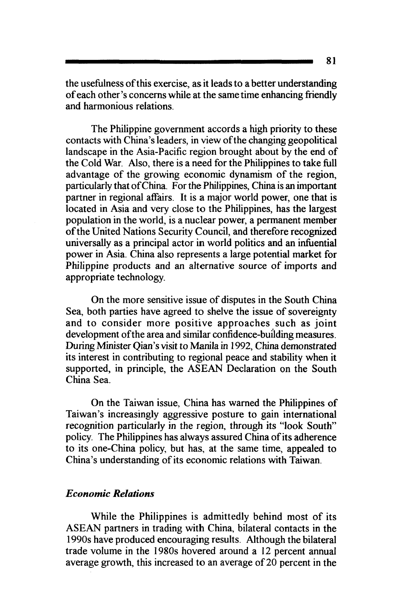the usefulness of this exercise, as it leads to a better understanding of each other's concerns while at the same time enhancing friendly and harmonious relations.

The Philippine government accords a high priority to these contacts with China's leaders, in view of the changing geopolitical landscape in the Asia-Pacific region brought about by the end of the Cold War. Also, there is a need for the Philippines to take full advantage of the growing economic dynamism of the region, particularly that of China. For the Philippines, China is an important partner in regional affairs. It is a major world power, one that is located in Asia and very close to the Philippines, has the largest population in the world, is a nuclear power, a permanent member of the United Nations Security Council, and therefore recognized universally as a principal actor in world politics and an infuential power in Asia. China also represents a large potential market for Philippine products and an alternative source of imports and appropriate technology.

On the more sensitive issue of disputes in the South China Sea, both parties have agreed to shelve the issue of sovereignty and to consider more positive approaches such as joint development ofthe area and similar confidence-bullding measures. During Minister Qian's visit to Manila in 1992, China demonstrated its interest in contributing to regional peace and stability when it supported, in principle, the ASEAN Declaration on the South China Sea.

On the Taiwan issue, China has warned the Philippines of Taiwan's increasingly aggressive posture to gain international recognition particularly in the region, through its "look South" policy. The Philippines has always assured China of its adherence to its one-China policy, but has, at the same time, appealed to China's understanding of its economic relations with Taiwan.

## *Economic Relations*

While the Philippines is admittedly behind most of its ASEAN partners in trading with China, bilateral contacts in the 1990s have produced encouraging results. Although the bilateral trade volume in the 1980s hovered around a 12 percent annual average growth, this increased to an average of 20 percent in the

81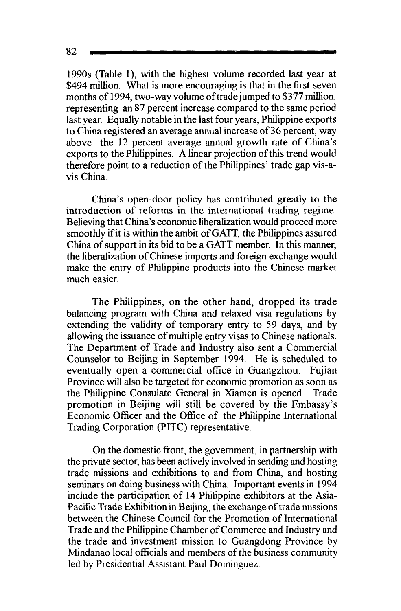1990s (Table 1), with the highest volume recorded last year at \$494 million. What is more encouraging is that in the first seven months of 1994, two-way volume of trade jumped to \$377 million, representing an 87 percent increase compared to the same period last year. Equally notable in the last four years, Philippine exports to China registered an average annual increase of 36 percent, way above the 12 percent average annual growth rate of China's exports to the Philippines. A linear projection of this trend would therefore point to a reduction of the Philippines' trade gap vis-a-

China's open-door policy has contributed greatly to the introduction of reforms in the international trading regime. Believing that China's economic liberalization would proceed more smoothly if it is within the ambit of GATT, the Philippines assured China of support in its bid to be a GATT member. In this manner, the liberalization of Chinese imports and foreign exchange would make the entry of Philippine products into the Chinese market much easier.

The Philippines, on the other hand, dropped its trade balancing program with China and relaxed visa regulations by extending the validity of temporary entry to 59 days, and by allowing the issuance of multiple entry visas to Chinese nationals. The Department of Trade and Industry also sent a Commercial Counselor to Beijing in September 1994. He is scheduled to eventually open a commercial office in Guangzhou. Fujian Province will also be targeted for economic promotion as soon as the Philippine Consulate General in Xiamen is opened. Trade promotion in Beijing will still be covered by the Embassy's Economic Officer and the Office of the Philippine International Trading Corporation (PITC) representative.

On the domestic front, the government, in partnership with the private sector, has been actively involved in sending and hosting trade missions and exhibitions to and from China, and hosting seminars on doing business with China. Important events in 1994 include the participation of 14 Philippine exhibitors at the Asia-Pacific Trade Exhibition in Beijing, the exchange of trade missions between the Chinese Council for the Promotion of International Trade and the Philippine Chamber of Commerce and Industry and the trade and investment mission to Guangdong Province by Mindanao local officials and members of the business community led by Presidential Assistant Paul Dominguez.

82

vis China.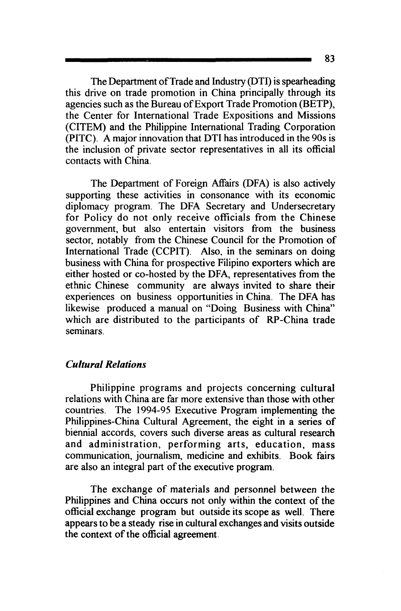The Department of Trade and Industry (DTI) is spearheading this drive on trade promotion in China principally through its agencies such as the Bureau of Export Trade Promotion (BETP), the Center for International Trade Expositions and Missions (CITEM) and the Philippine International Trading Corporation (PITC). A major innovation that DTI has introduced in the 90s is the inclusion of private sector representatives in all its official contacts with China.

The Department of Foreign Affairs (DFA) is also actively supporting these activities in consonance with its economic diplomacy program. The DFA Secretary and Undersecretary for Policy do not only receive officials from the Chinese government, but also entertain visitors from the business sector, notably from the Chinese Council for the Promotion of International Trade (CCPIT). Also. in the seminars on doing business with China for prospective Filipino exporters which are either hosted or co-hosted by the DFA, representatives from the ethnic Chinese community are always invited to share their experiences on business opportunities in China. The DFA has likewise produced a manual on "Doing Business with China" which are distributed to the participants of RP-China trade seminars

## *Cultural Relations*

Philippine programs and projects concerning cultural relations with China are far more extensive than those with other countries. The 1994-95 Executive Program implementing the Philippines-China Cultural Agreement, the eight in a series of biennial accords, covers such diverse areas as cultural research and administration, performing arts, education, mass communication, journalism, medicine and exhibits. Book fairs are also an integral part of the executive program.

The exchange of materials and personnel between the Philippines and China occurs not only within the context of the official exchange program but outside its scope as well. There appears to be a steady rise in cultural exchanges and visits outside the context of the official agreement.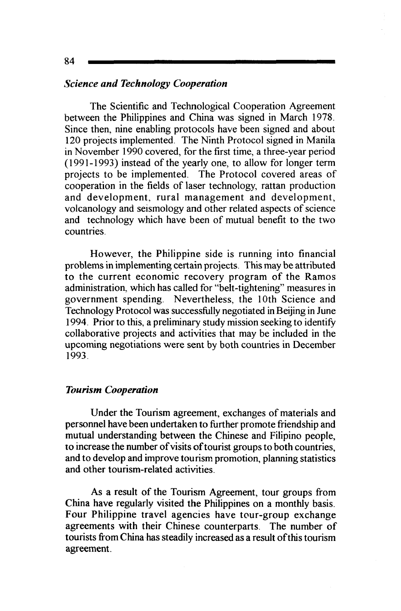## *Science and Technology Cooperation*

The Scientific and Technological Cooperation Agreement between the Philippines and China was signed in March 1978. Since then, nine enabling protocols have been signed and about 120 projects implemented. The Ninth Protocol signed in Manila in November 1990 covered, for the first time, a three-year period  $(1991-1993)$  instead of the yearly one, to allow for longer term projects to be implemented. The Protocol covered areas of cooperation in the fields of laser technology, rattan production and development, rural management and development, volcanology and seismology and other related aspects of science and technology which have been of mutual benefit to the two countries.

However, the Philippine side is running into financial problems in implementing certain projects. This may be attributed to the current economic recovery program of the Ramos administration, which has called for "belt-tightening" measures in government spending. Nevertheless, the lOth Science and Technology Protocol was successfully negotiated in Beijing in June 1994. Prior to this, a preliminary study mission seeking to identity collaborative projects and activities that may be included in the upcoming negotiations were sent by both countries in December 1993.

#### *Tourism Cooperation*

Under the Tourism agreement, exchanges of materials and personnel have been undertaken to further promote friendship and mutual understanding between the Chinese and Filipino people, to increase the number of visits of tourist groups to both countries, and to develop and improve tourism promotion, planning statistics and other tourism-related activities.

As a result of the Tourism Agreement, tour groups from China have regularly visited the Philippines on a monthly basis. Four Philippine travel agencies have tour-group exchange agreements with their Chinese counterparts. The number of tourists from China has steadily increased as a result of this tourism agreement.

84